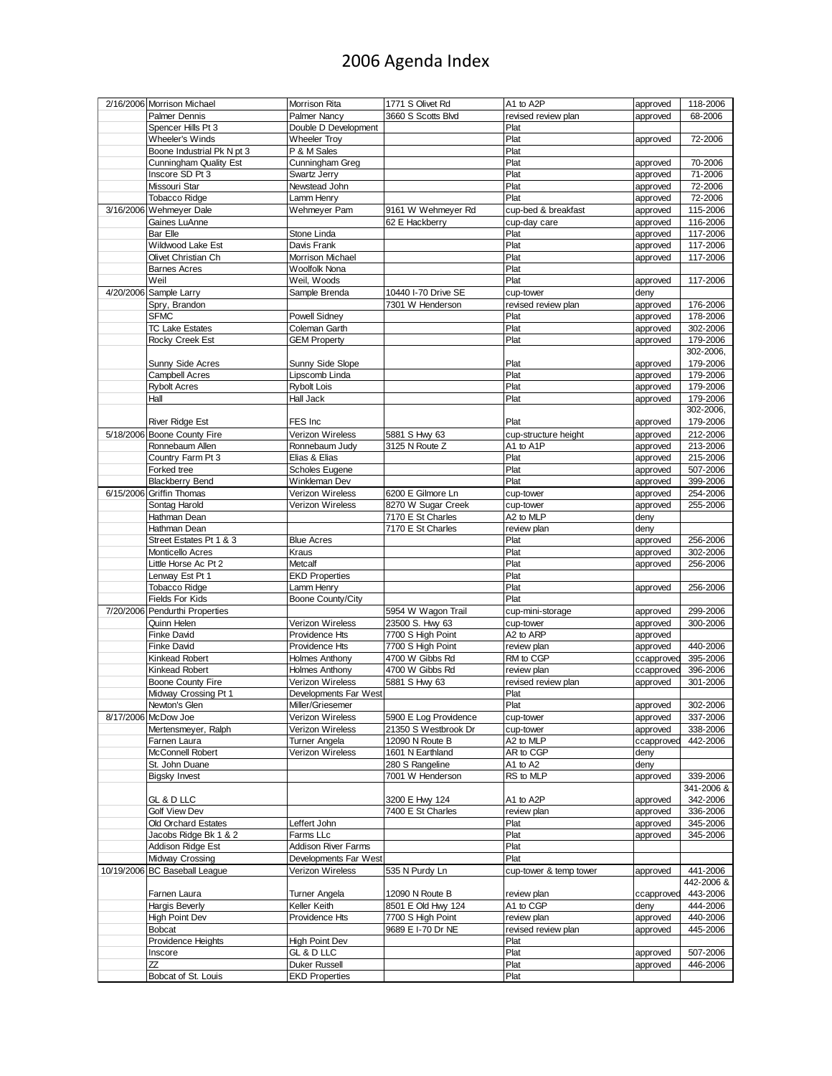## 2006 Agenda Index

| 2/16/2006 Morrison Michael     | Morrison Rita                                       | 1771 S Olivet Rd      | A1 to A2P              | approved   | 118-2006   |
|--------------------------------|-----------------------------------------------------|-----------------------|------------------------|------------|------------|
| Palmer Dennis                  | <b>Palmer Nancy</b>                                 | 3660 S Scotts Blvd    | revised review plan    | approved   | 68-2006    |
| Spencer Hills Pt 3             | Double D Development                                |                       | Plat                   |            |            |
| <b>Wheeler's Winds</b>         | <b>Wheeler Troy</b>                                 |                       | Plat                   | approved   | 72-2006    |
| Boone Industrial Pk N pt 3     | P & M Sales                                         |                       | Plat                   |            |            |
| <b>Cunningham Quality Est</b>  | Cunningham Greg                                     |                       | Plat                   |            | 70-2006    |
|                                |                                                     |                       | Plat                   | approved   |            |
| Inscore SD Pt 3                | Swartz Jerry                                        |                       |                        | approved   | 71-2006    |
| Missouri Star                  | Newstead John                                       |                       | Plat                   | approved   | 72-2006    |
| <b>Tobacco Ridge</b>           | Lamm Henry                                          |                       | Plat                   | approved   | 72-2006    |
| 3/16/2006 Wehmeyer Dale        | Wehmeyer Pam                                        | 9161 W Wehmeyer Rd    | cup-bed & breakfast    | approved   | 115-2006   |
| Gaines LuAnne                  |                                                     | 62 E Hackberry        | cup-day care           | approved   | 116-2006   |
| <b>Bar Elle</b>                | Stone Linda                                         |                       | Plat                   | approved   | 117-2006   |
| Wildwood Lake Est              | Davis Frank                                         |                       | Plat                   | approved   | 117-2006   |
| Olivet Christian Ch            | <b>Morrison Michael</b>                             |                       | Plat                   | approved   | 117-2006   |
| <b>Barnes Acres</b>            | Woolfolk Nona                                       |                       | Plat                   |            |            |
| Weil                           | Weil, Woods                                         |                       | Plat                   | approved   | 117-2006   |
| 4/20/2006 Sample Larry         | Sample Brenda                                       | 10440 I-70 Drive SE   | cup-tower              | deny       |            |
| Spry, Brandon                  |                                                     | 7301 W Henderson      | revised review plan    | approved   | 176-2006   |
|                                |                                                     |                       |                        |            |            |
| <b>SFMC</b>                    | <b>Powell Sidney</b>                                |                       | Plat                   | approved   | 178-2006   |
| <b>TC Lake Estates</b>         | Coleman Garth                                       |                       | Plat                   | approved   | 302-2006   |
| Rocky Creek Est                | <b>GEM Property</b>                                 |                       | Plat                   | approved   | 179-2006   |
|                                |                                                     |                       |                        |            | 302-2006,  |
| Sunny Side Acres               | Sunny Side Slope                                    |                       | Plat                   | approved   | 179-2006   |
| Campbell Acres                 | Lipscomb Linda                                      |                       | Plat                   | approved   | 179-2006   |
| <b>Rybolt Acres</b>            | <b>Rybolt Lois</b>                                  |                       | Plat                   | approved   | 179-2006   |
| Hall                           | Hall Jack                                           |                       | Plat                   | approved   | 179-2006   |
|                                |                                                     |                       |                        |            | 302-2006,  |
| <b>River Ridge Est</b>         | FES Inc                                             |                       | Plat                   | approved   | 179-2006   |
| 5/18/2006 Boone County Fire    | Verizon Wireless                                    | 5881 S Hwy 63         | cup-structure height   | approved   | 212-2006   |
| Ronnebaum Allen                | Ronnebaum Judy                                      | 3125 N Route Z        | A1 to A1P              |            | 213-2006   |
|                                |                                                     |                       |                        | approved   |            |
| Country Farm Pt 3              | Elias & Elias                                       |                       | Plat                   | approved   | 215-2006   |
| Forked tree                    | <b>Scholes Eugene</b>                               |                       | Plat                   | approved   | 507-2006   |
| <b>Blackberry Bend</b>         | Winkleman Dev                                       |                       | Plat                   | approved   | 399-2006   |
| 6/15/2006 Griffin Thomas       | Verizon Wireless                                    | 6200 E Gilmore Ln     | cup-tower              | approved   | 254-2006   |
| Sontag Harold                  | Verizon Wireless                                    | 8270 W Sugar Creek    | cup-tower              | approved   | 255-2006   |
| Hathman Dean                   |                                                     | 7170 E St Charles     | A2 to MLP              | deny       |            |
| Hathman Dean                   |                                                     | 7170 E St Charles     | review plan            | deny       |            |
| Street Estates Pt 1 & 3        | <b>Blue Acres</b>                                   |                       | Plat                   | approved   | 256-2006   |
| Monticello Acres               | Kraus                                               |                       | Plat                   | approved   | 302-2006   |
| Little Horse Ac Pt 2           | Metcalf                                             |                       | Plat                   | approved   | 256-2006   |
| Lenway Est Pt 1                | <b>EKD Properties</b>                               |                       | Plat                   |            |            |
|                                |                                                     |                       | Plat                   |            |            |
| <b>Tobacco Ridge</b>           | Lamm Henry                                          |                       |                        | approved   | 256-2006   |
| Fields For Kids                | Boone County/City                                   |                       | Plat                   |            |            |
| 7/20/2006 Pendurthi Properties |                                                     | 5954 W Wagon Trail    | cup-mini-storage       | approved   | 299-2006   |
| Quinn Helen                    | Verizon Wireless                                    | 23500 S. Hwy 63       | cup-tower              | approved   | 300-2006   |
| Finke David                    | Providence Hts                                      | 7700 S High Point     | A2 to ARP              | approved   |            |
| Finke David                    | Providence Hts                                      | 7700 S High Point     | review plan            | approved   | 440-2006   |
| <b>Kinkead Robert</b>          | <b>Holmes Anthony</b>                               | 4700 W Gibbs Rd       | RM to CGP              | ccapprove  | 395-2006   |
| <b>Kinkead Robert</b>          | <b>Holmes Anthony</b>                               | 4700 W Gibbs Rd       | review plan            | ccapproved | 396-2006   |
| <b>Boone County Fire</b>       | Verizon Wireless                                    | 5881 S Hwy 63         | revised review plan    | approved   | 301-2006   |
| Midway Crossing Pt 1           | Developments Far West                               |                       | Plat                   |            |            |
| Newton's Glen                  | Miller/Griesemer                                    |                       | Plat                   | approved   | 302-2006   |
| 8/17/2006 McDow Joe            | Verizon Wireless                                    | 5900 E Log Providence | cup-tower              | approved   | 337-2006   |
| Mertensmeyer, Ralph            | Verizon Wireless                                    | 21350 S Westbrook Dr  |                        |            | 338-2006   |
| Farnen Laura                   |                                                     |                       | cup-tower              | approved   | 442-2006   |
|                                | Turner Angela                                       | 12090 N Route B       | A2 to MLP              | ccapprove  |            |
| McConnell Robert               | Verizon Wireless                                    | 1601 N Earthland      | AR to CGP              | deny       |            |
| St. John Duane                 |                                                     | 280 S Rangeline       | A1 to A2               | deny       |            |
| <b>Bigsky Invest</b>           |                                                     |                       |                        | approved   | 339-2006   |
|                                |                                                     | 7001 W Henderson      | RS to MLP              |            |            |
|                                |                                                     |                       |                        |            | 341-2006 & |
| GL & D LLC                     |                                                     | 3200 E Hwy 124        | A1 to A2P              | approved   | 342-2006   |
| Golf View Dev                  |                                                     | 7400 E St Charles     | review plan            | approved   | 336-2006   |
| Old Orchard Estates            | effert John                                         |                       | Plat                   | approved   | 345-2006   |
| Jacobs Ridge Bk 1 & 2          | Farms LLc                                           |                       | Plat                   | approved   | 345-2006   |
| Addison Ridge Est              |                                                     |                       | Plat                   |            |            |
| Midway Crossing                | <b>Addison River Farms</b><br>Developments Far West |                       | Plat                   |            |            |
|                                |                                                     |                       |                        |            |            |
| 10/19/2006 BC Baseball League  | Verizon Wireless                                    | 535 N Purdy Ln        | cup-tower & temp tower | approved   | 441-2006   |
|                                |                                                     |                       |                        |            | 442-2006 & |
| Farnen Laura                   | Turner Angela                                       | 12090 N Route B       | review plan            | ccapproved | 443-2006   |
| Hargis Beverly                 | Keller Keith                                        | 8501 E Old Hwy 124    | A1 to CGP              | deny       | 444-2006   |
| <b>High Point Dev</b>          | Providence Hts                                      | 7700 S High Point     | review plan            | approved   | 440-2006   |
| <b>Bobcat</b>                  |                                                     | 9689 E I-70 Dr NE     | revised review plan    | approved   | 445-2006   |
| Providence Heights             | <b>High Point Dev</b>                               |                       | Plat                   |            |            |
| Inscore                        | GL & D LLC                                          |                       | Plat                   | approved   | 507-2006   |
| ZZ<br>Bobcat of St. Louis      | <b>Duker Russell</b><br><b>EKD Properties</b>       |                       | Plat<br>Plat           | approved   | 446-2006   |